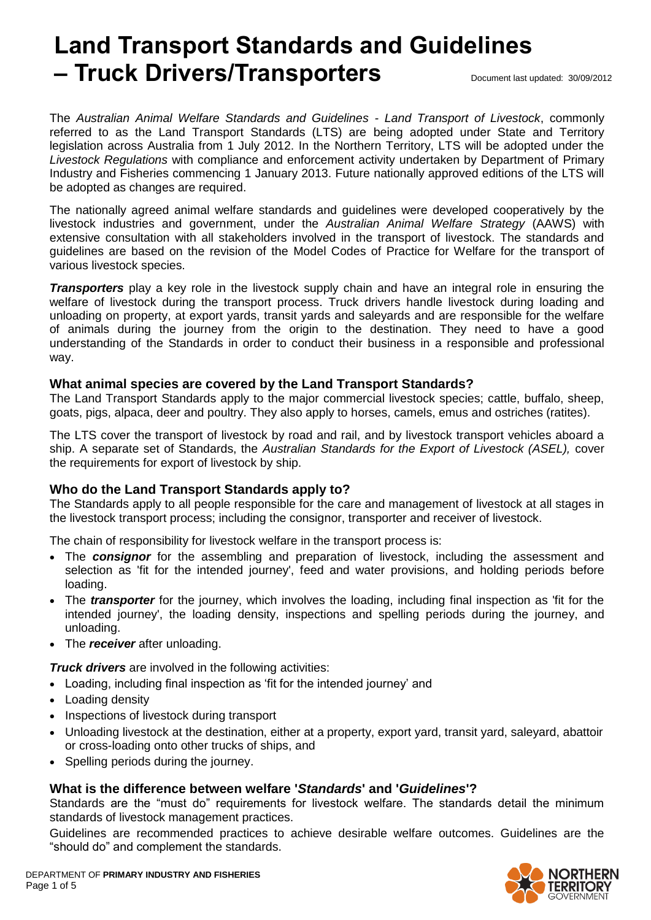# **Land Transport Standards and Guidelines – Truck Drivers/Transporters** Document last updated: 30/09/2012

The *Australian Animal Welfare Standards and Guidelines - Land Transport of Livestock*, commonly referred to as the Land Transport Standards (LTS) are being adopted under State and Territory legislation across Australia from 1 July 2012. In the Northern Territory, LTS will be adopted under the *Livestock Regulations* with compliance and enforcement activity undertaken by Department of Primary Industry and Fisheries commencing 1 January 2013. Future nationally approved editions of the LTS will be adopted as changes are required.

The nationally agreed animal welfare standards and guidelines were developed cooperatively by the livestock industries and government, under the *Australian Animal Welfare Strategy* (AAWS) with extensive consultation with all stakeholders involved in the transport of livestock. The standards and guidelines are based on the revision of the Model Codes of Practice for Welfare for the transport of various livestock species.

*Transporters* play a key role in the livestock supply chain and have an integral role in ensuring the welfare of livestock during the transport process. Truck drivers handle livestock during loading and unloading on property, at export yards, transit yards and saleyards and are responsible for the welfare of animals during the journey from the origin to the destination. They need to have a good understanding of the Standards in order to conduct their business in a responsible and professional way.

## **What animal species are covered by the Land Transport Standards?**

The Land Transport Standards apply to the major commercial livestock species; cattle, buffalo, sheep, goats, pigs, alpaca, deer and poultry. They also apply to horses, camels, emus and ostriches (ratites).

The LTS cover the transport of livestock by road and rail, and by livestock transport vehicles aboard a ship. A separate set of Standards, the *Australian Standards for the Export of Livestock (ASEL),* cover the requirements for export of livestock by ship.

#### **Who do the Land Transport Standards apply to?**

The Standards apply to all people responsible for the care and management of livestock at all stages in the livestock transport process; including the consignor, transporter and receiver of livestock.

The chain of responsibility for livestock welfare in the transport process is:

- The *consignor* for the assembling and preparation of livestock, including the assessment and selection as 'fit for the intended journey', feed and water provisions, and holding periods before loading.
- The *transporter* for the journey, which involves the loading, including final inspection as 'fit for the intended journey', the loading density, inspections and spelling periods during the journey, and unloading.
- The *receiver* after unloading.

*Truck drivers* are involved in the following activities:

- Loading, including final inspection as 'fit for the intended journey' and
- Loading density
- Inspections of livestock during transport
- Unloading livestock at the destination, either at a property, export yard, transit yard, saleyard, abattoir or cross-loading onto other trucks of ships, and
- Spelling periods during the journey.

## **What is the difference between welfare '***Standards***' and '***Guidelines***'?**

Standards are the "must do" requirements for livestock welfare. The standards detail the minimum standards of livestock management practices.

Guidelines are recommended practices to achieve desirable welfare outcomes. Guidelines are the "should do" and complement the standards.

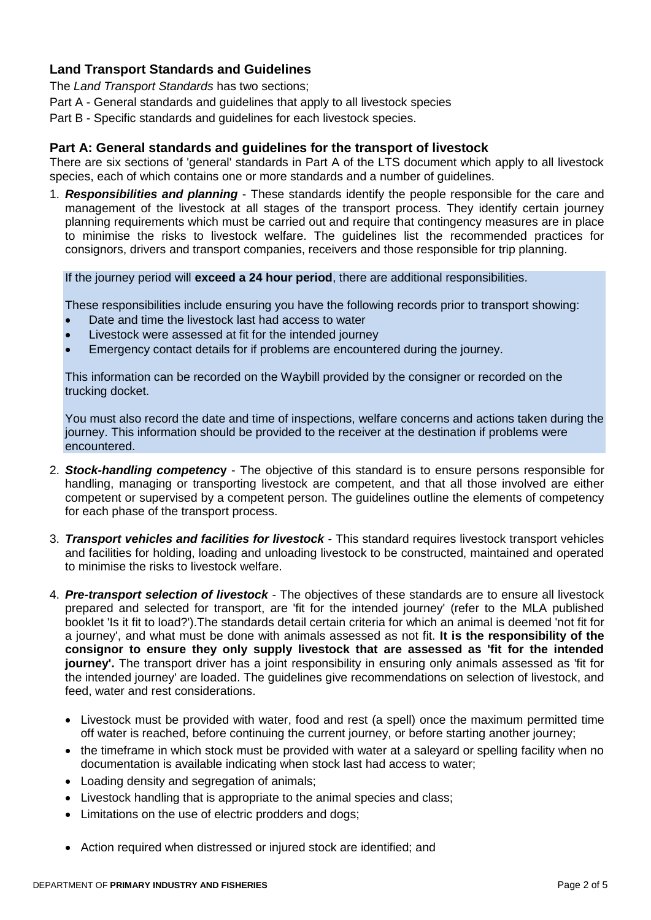# **Land Transport Standards and Guidelines**

The *Land Transport Standards* has two sections;

Part A - General standards and guidelines that apply to all livestock species

Part B - Specific standards and guidelines for each livestock species.

#### **Part A: General standards and guidelines for the transport of livestock**

There are six sections of 'general' standards in Part A of the LTS document which apply to all livestock species, each of which contains one or more standards and a number of guidelines.

1. *Responsibilities and planning* - These standards identify the people responsible for the care and management of the livestock at all stages of the transport process. They identify certain journey planning requirements which must be carried out and require that contingency measures are in place to minimise the risks to livestock welfare. The guidelines list the recommended practices for consignors, drivers and transport companies, receivers and those responsible for trip planning.

If the journey period will **exceed a 24 hour period**, there are additional responsibilities.

These responsibilities include ensuring you have the following records prior to transport showing:

- Date and time the livestock last had access to water
- Livestock were assessed at fit for the intended journey
- Emergency contact details for if problems are encountered during the journey.

This information can be recorded on the Waybill provided by the consigner or recorded on the trucking docket.

You must also record the date and time of inspections, welfare concerns and actions taken during the journey. This information should be provided to the receiver at the destination if problems were encountered.

- 2. *Stock-handling competenc***y**  The objective of this standard is to ensure persons responsible for handling, managing or transporting livestock are competent, and that all those involved are either competent or supervised by a competent person. The guidelines outline the elements of competency for each phase of the transport process.
- 3. *Transport vehicles and facilities for livestock* This standard requires livestock transport vehicles and facilities for holding, loading and unloading livestock to be constructed, maintained and operated to minimise the risks to livestock welfare.
- 4. *Pre-transport selection of livestock* The objectives of these standards are to ensure all livestock prepared and selected for transport, are 'fit for the intended journey' (refer to the MLA published booklet 'Is it fit to load?').The standards detail certain criteria for which an animal is deemed 'not fit for a journey', and what must be done with animals assessed as not fit. **It is the responsibility of the consignor to ensure they only supply livestock that are assessed as 'fit for the intended journey'.** The transport driver has a joint responsibility in ensuring only animals assessed as 'fit for the intended journey' are loaded. The guidelines give recommendations on selection of livestock, and feed, water and rest considerations.
	- Livestock must be provided with water, food and rest (a spell) once the maximum permitted time off water is reached, before continuing the current journey, or before starting another journey;
	- the timeframe in which stock must be provided with water at a saleyard or spelling facility when no documentation is available indicating when stock last had access to water;
	- Loading density and segregation of animals:
	- Livestock handling that is appropriate to the animal species and class;
	- Limitations on the use of electric prodders and dogs;
	- Action required when distressed or injured stock are identified; and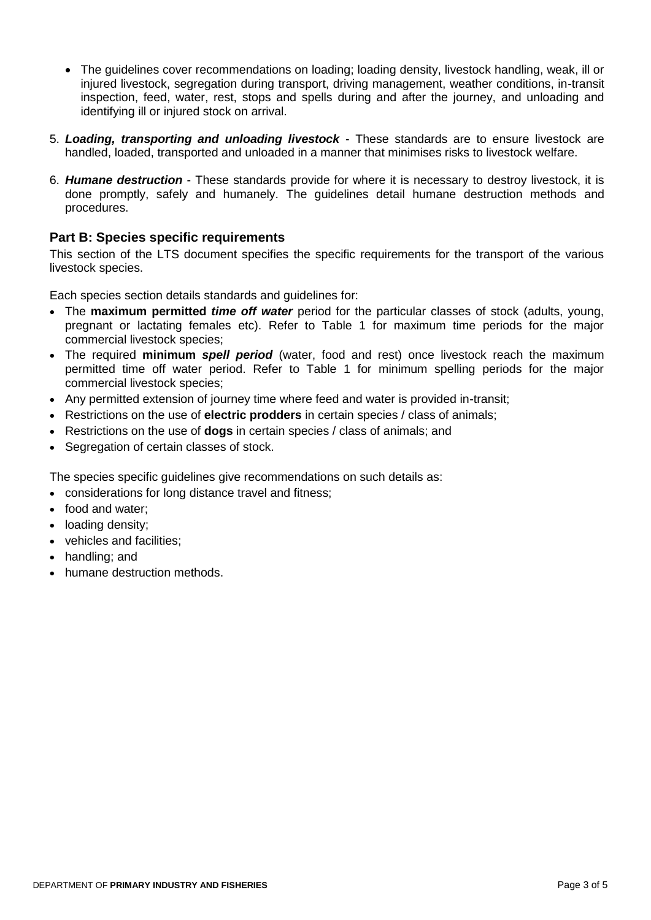- The guidelines cover recommendations on loading; loading density, livestock handling, weak, ill or injured livestock, segregation during transport, driving management, weather conditions, in-transit inspection, feed, water, rest, stops and spells during and after the journey, and unloading and identifying ill or injured stock on arrival.
- 5. *Loading, transporting and unloading livestock* These standards are to ensure livestock are handled, loaded, transported and unloaded in a manner that minimises risks to livestock welfare.
- 6. *Humane destruction* These standards provide for where it is necessary to destroy livestock, it is done promptly, safely and humanely. The guidelines detail humane destruction methods and procedures.

## **Part B: Species specific requirements**

This section of the LTS document specifies the specific requirements for the transport of the various livestock species.

Each species section details standards and guidelines for:

- The **maximum permitted** *time off water* period for the particular classes of stock (adults, young, pregnant or lactating females etc). Refer to Table 1 for maximum time periods for the major commercial livestock species;
- The required **minimum** *spell period* (water, food and rest) once livestock reach the maximum permitted time off water period. Refer to Table 1 for minimum spelling periods for the major commercial livestock species;
- Any permitted extension of journey time where feed and water is provided in-transit;
- Restrictions on the use of **electric prodders** in certain species / class of animals;
- Restrictions on the use of **dogs** in certain species / class of animals; and
- Segregation of certain classes of stock.

The species specific guidelines give recommendations on such details as:

- considerations for long distance travel and fitness;
- food and water:
- loading density;
- vehicles and facilities;
- handling; and
- humane destruction methods.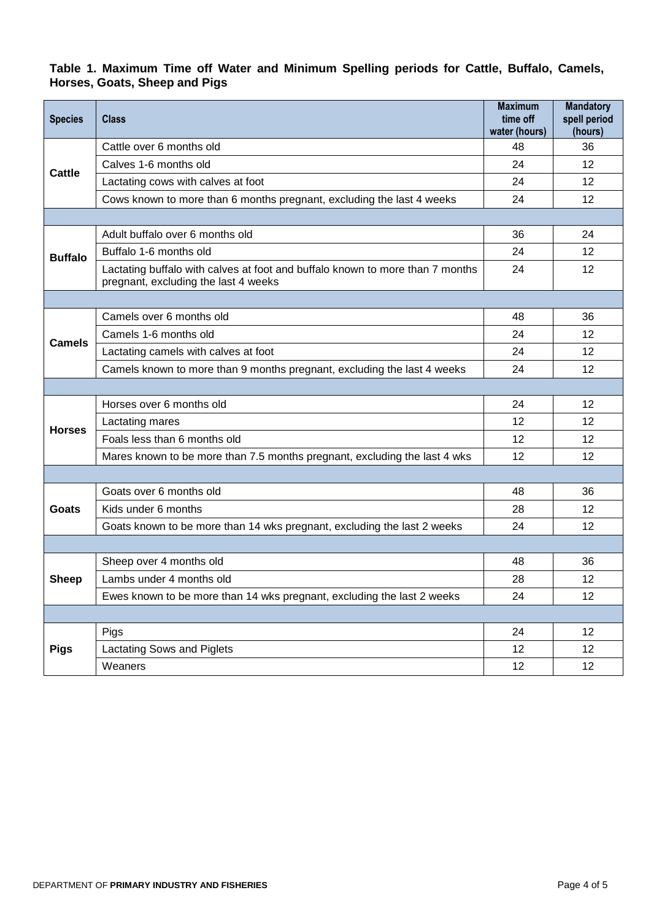# **Table 1. Maximum Time off Water and Minimum Spelling periods for Cattle, Buffalo, Camels, Horses, Goats, Sheep and Pigs**

| <b>Species</b> | <b>Class</b>                                                                                                          | <b>Maximum</b><br>time off | <b>Mandatory</b><br>spell period |
|----------------|-----------------------------------------------------------------------------------------------------------------------|----------------------------|----------------------------------|
| Cattle         | Cattle over 6 months old                                                                                              | water (hours)<br>48        | (hours)<br>36                    |
|                | Calves 1-6 months old                                                                                                 | 24                         | 12                               |
|                | Lactating cows with calves at foot                                                                                    | 24                         | 12                               |
|                | Cows known to more than 6 months pregnant, excluding the last 4 weeks                                                 | 24                         | 12                               |
|                |                                                                                                                       |                            |                                  |
| <b>Buffalo</b> | Adult buffalo over 6 months old                                                                                       | 36                         | 24                               |
|                | Buffalo 1-6 months old                                                                                                | 24                         | 12                               |
|                | Lactating buffalo with calves at foot and buffalo known to more than 7 months<br>pregnant, excluding the last 4 weeks | 24                         | 12                               |
|                |                                                                                                                       |                            |                                  |
| <b>Camels</b>  | Camels over 6 months old                                                                                              | 48                         | 36                               |
|                | Camels 1-6 months old                                                                                                 | 24                         | 12                               |
|                | Lactating camels with calves at foot                                                                                  | 24                         | 12                               |
|                | Camels known to more than 9 months pregnant, excluding the last 4 weeks                                               | 24                         | 12                               |
|                |                                                                                                                       |                            |                                  |
| <b>Horses</b>  | Horses over 6 months old                                                                                              | 24                         | 12                               |
|                | Lactating mares                                                                                                       | 12                         | 12                               |
|                | Foals less than 6 months old                                                                                          | 12                         | 12                               |
|                | Mares known to be more than 7.5 months pregnant, excluding the last 4 wks                                             | 12                         | 12                               |
|                |                                                                                                                       |                            |                                  |
| Goats          | Goats over 6 months old                                                                                               | 48                         | 36                               |
|                | Kids under 6 months                                                                                                   | 28                         | 12                               |
|                | Goats known to be more than 14 wks pregnant, excluding the last 2 weeks                                               | 24                         | 12                               |
|                |                                                                                                                       |                            |                                  |
| <b>Sheep</b>   | Sheep over 4 months old                                                                                               | 48                         | 36                               |
|                | Lambs under 4 months old                                                                                              | 28                         | 12                               |
|                | Ewes known to be more than 14 wks pregnant, excluding the last 2 weeks                                                | 24                         | 12                               |
|                |                                                                                                                       |                            |                                  |
| <b>Pigs</b>    | Pigs                                                                                                                  | 24                         | 12                               |
|                | Lactating Sows and Piglets                                                                                            | 12                         | 12                               |
|                | Weaners                                                                                                               | 12                         | 12                               |